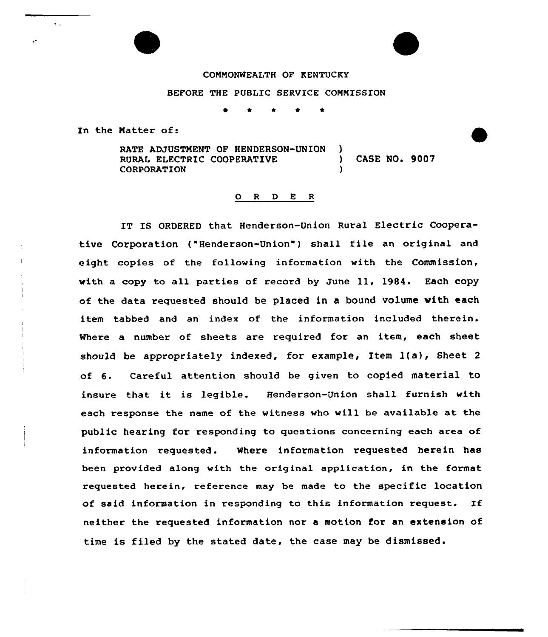## COMNONWEALTH OF KENTUCKY

## BEFORE THE PUBLIC SERVICE CONNISSION

<sup>~</sup> <sup>4</sup> \* \*

In the Natter of:

 $\ddot{\phantom{a}}$  .

y

RATE ADJUSTMENT OF HENDERSON-UNION )<br>RURAL ELECTRIC COOPERATIVE RURAL ELECTRIC COOPERATIVE ) CASE NO. 9007 CORPORATION )

### 0 <sup>R</sup> <sup>D</sup> <sup>E</sup> <sup>R</sup>

IT IS ORDERED that Henderson-Union Rural Electric Cooperative Corporation ("Henderson-Union") shall file an original and eight copies of the following information with the Commission, with <sup>a</sup> copy to all parties of record by June ll, 1984. Each copy of the data requested should be placed in a bound volume with each item tabbed and an index of the information included therein. Where a number of sheets are required for an item, each sheet should be appropriately indexed, for example, Item l(a), Sheet <sup>2</sup> of 6. Careful attention should be given to copied material to insure that it is legible. Henderson-Union shall furnish with each response the name of the witness who will be available at the public hearing for responding to questions concerning each area of information requested. Where information requested herein has been provided along with the original application, in the format requested herein, reference may be made to the specific location of said information in responding to this information request. If neither the requested information nor a motion for an extension of time is filed by the stated date, the case may be dismissed.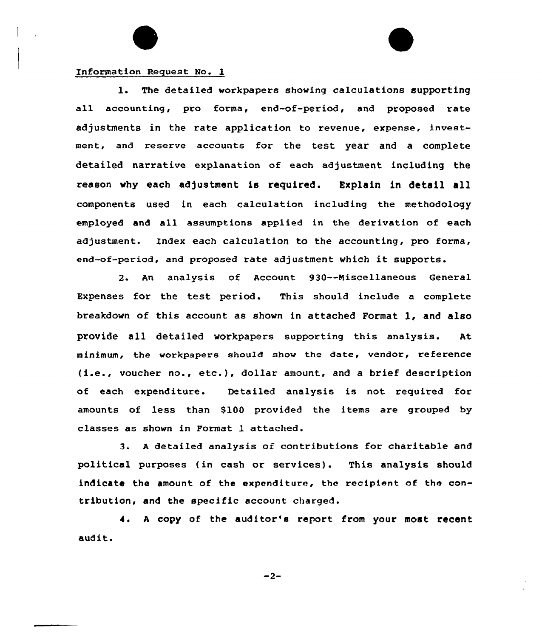# Information Request No. 1

1. The detailed workpapers showing calculations supporting all accounting, pro forma, end-of-period, and proposed rate adjustments in the rate application to revenue, expense, investment, and reserve accounts for the test year and a complete detailed narrative explanation of each adjustment including the reason why each adjustment is required. Explain in detail all components used in each calculation including the methodology employed and all assumptions applied in the derivation of each adjustment. Index each calculation to the accounting, pro forms, end-of-period, and proposed rate adjustment which it supports.

2. An analysis of Account 930--Miscellaneous General Expenses for the test period. This should include a complete breakdown of this account as shown in attached Format 1, and also provide all detailed workpapers supporting this analysis. At minimum, the workpapers shouId show the date, vendor, reference (i.e., voucher no., etc.), dollar amount, and <sup>a</sup> brief description of each expenditure. Detailed analysis is not required for amounts of less than \$100 provided the items are grouped by classes as shown in Format 1 attached.

3. <sup>A</sup> detailed analysis of contributions for charitable and political purposes (in cash or services). This analysis should indicate the amount of the expenditure, the recipient of tho contribution, and the specific account charged.

4. <sup>A</sup> copy of the auditor's report from your most recent audit.

 $-2-$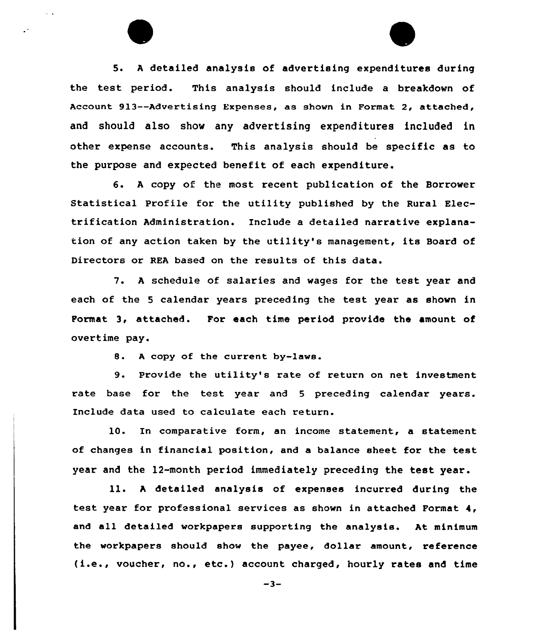5. <sup>A</sup> detailed analysis of advertising expenditures during the test period. This analysis should include a breakdown of Account 9l3--Advertising Expenses, as shown in Format 2, attached, and should also show any advertising expenditures included in other expense accounts. This analysis should be specific as to the purpose and expected benefit of each expenditure.

6. <sup>A</sup> copy of the most recent publication of the Borrower Statistical Profile for the utility published by the Rural Electrification Administration. Include a detailed narrative explanation of any action taken by the utility's management, its Board of Directors or REA based on the results of this data.

7. <sup>A</sup> schedule of salaries and wages for the test year and each of the <sup>5</sup> calendar years preceding the test year as shown in Format 3, attached. For each time period provide the amount of overtime pay.

8. <sup>A</sup> copy of the current by-laws.

 $\ddot{\phantom{a}}$ 

9. Provide the utility's rate of return on net investment rate base for the test year and <sup>5</sup> preceding calendar years. Include data used to calculate each return.

l0. In comparative form, an income statement, a statement of changes in financial position, and a balance sheet for the test year and the 12-month period immediately preceding the test year.

ll. <sup>A</sup> detailed analysis of expenses incurred during the test year for professional services as shown in attached Format 4, and all detailed workpapers supporting the analysis. At minimum the workpapers should show the payee, dollar amount, reference (i.e., voucher, no., etc.} account charged, hourly rates and time

 $-3-$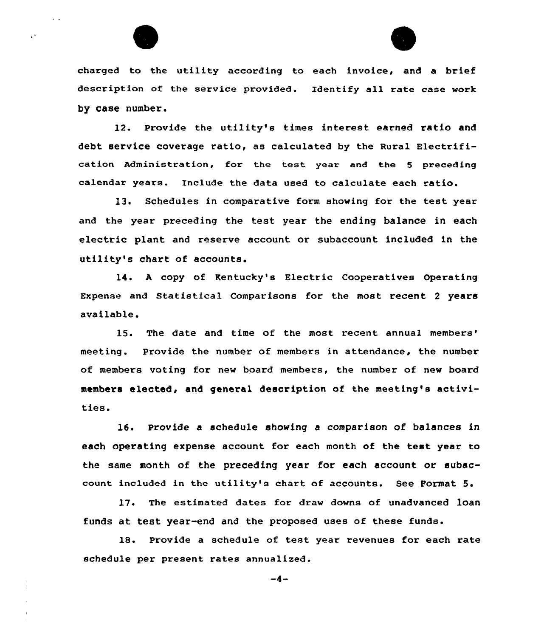

 $\mathbf{r}$  .

 $\ddot{\phantom{a}}$ 



charged to the utility according to each invoice, and a brief description of the service provided. Identify all rate case work by case number.

12. Provide the utility's times interest earned ratio and debt service coverage ratio, as calculated by the Rural Electrification Administration, for the test year and the <sup>5</sup> preceding calendar years. Include the data used to calculate each ratio.

13. Schedules in comparative form showing for the test year and the year preceding the test year the ending balance in each electric plant and reserve account or subaccount included in the utility's chart of accounts.

14. <sup>A</sup> copy of Kentucky's Electric Cooperatives Operating Expense and Statistical Comparisons for the most recent <sup>2</sup> years available.

15. The date and time of the most recent annual meeting. Provide the number of members in attendance, the number of members voting for new board members, the number of new board members elected, and general description of the meeting's activities.

16. Provide a schedule showing a comparison of balances in each operating expense account for each month of the test year to the same month of the preceding year for each account or subaccount included in the utility's chart of accounts. See Format 5.

17. The estimated dates for draw downs of unadvanced loan funds at test year-end and the proposed uses of these funds.

18. Provide a schedule of test year revenues for each rate schedule per present rates annualized.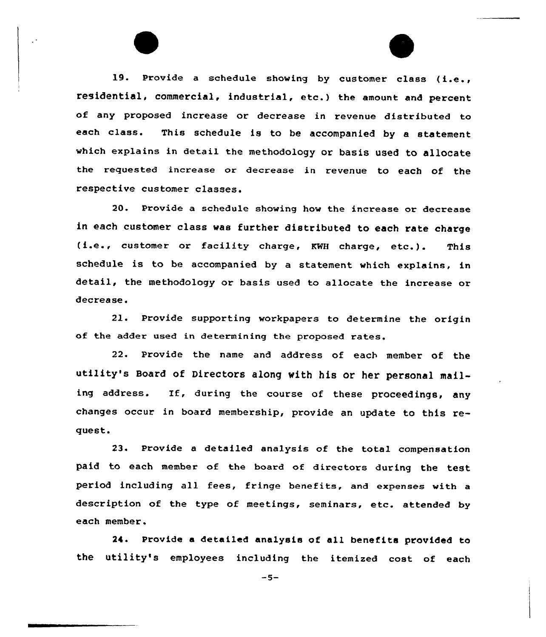19. Provide <sup>a</sup> schedule showing by customer class (i.e., residential, commercial, industrial, etc. ) the amount and percent of any proposed increase or decrease in revenue distributed to each class. This schedule is to be accompanied by <sup>a</sup> statement which explains in detail the methodology or basis used to allocate the requested increase or decrease in revenue to each of the respective customer classes.

20. Provide a schedule showing how the increase or decrease in each customer class was further distributed to each rate charge (i.e., customer or facility charge, KWH charge, etc.). This schedule is to be accompanied by a statement which explains, in detail, the methodology or basis used to allocate the increase or decrease.

21. Provide supporting workpapers to determine the origin of the adder used in determining the proposed rates.

22. Provide the name and address of each member of the utility's Board of Directors along with his or her personal mailing address. If, during the course of these proceedings, any changes occur in board membership, provide an update to this request.

23. Provide a detailed analysis of the total compensation paid to each member of the board of directors during the test period including all fees, fringe benefits, and expenses with a description of the type of meetings, seminars, etc. attended by each member.

24. Provide a detailed analysis of all benefits provided to the utility's employees including the itemized cost of each

 $-5-$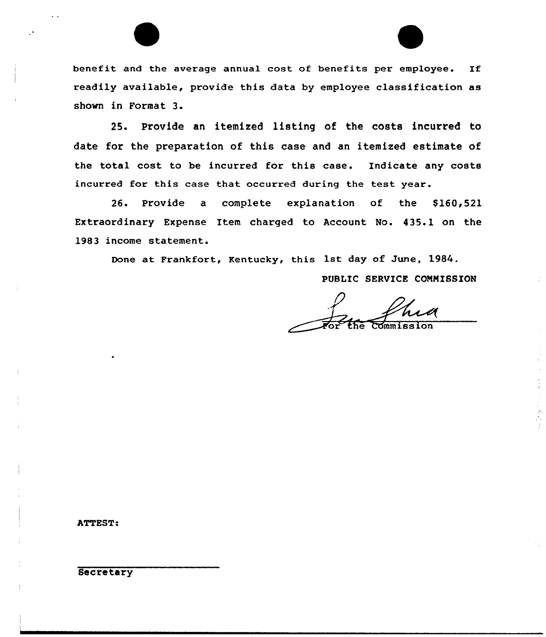benefit and the average annual cost of benefits per employee. If readily available, provide this data by employee classification as shown in Format 3.

25. Provide an itemized listing of the costs incurred to date for the preparation of this case and an itemized estimate of the total cost to be incurred for this case. Indicate any costs incurred for this case that occurred during the test year.

26. Provide a complete explanation of the \$160,521 Extraordinary Expense Item charged to Account No. 435.1 on the 1983 income statement.

Done at Frankfort, Kentucky, this 1st day of June, 1984.

PUBLIC SERVICE COMMISSION

 $\overline{\mathrm{Comm}}$  i

ATTEST:

**Secretary**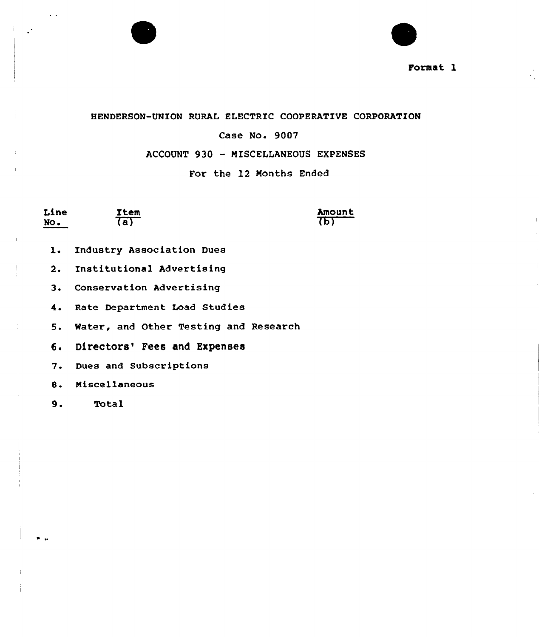



HENDERSON-UNION RURAL ELECTRIC COOPERATIVE CORPORATION

# Case No. 9007

# ACCOUNT 930 - MISCELLANEOUS EXPENSES

# For the 12 Months Ended

Line No.

 $\ddotsc$ 

 $\mathbf{R}$ 

Item  $\overline{a}$ 

**Amount** का

- l. Industry Association Dues
- 2. Institutional Advertising
- 3. Conservation Advertising
- 4. Rate Department Load Studies

5. Water, and Other Testing and Research

- 6. Directors' Fees and Expenses
- 7. Dues and Subscriptions
- 8. Miscellaneous
- 9. Total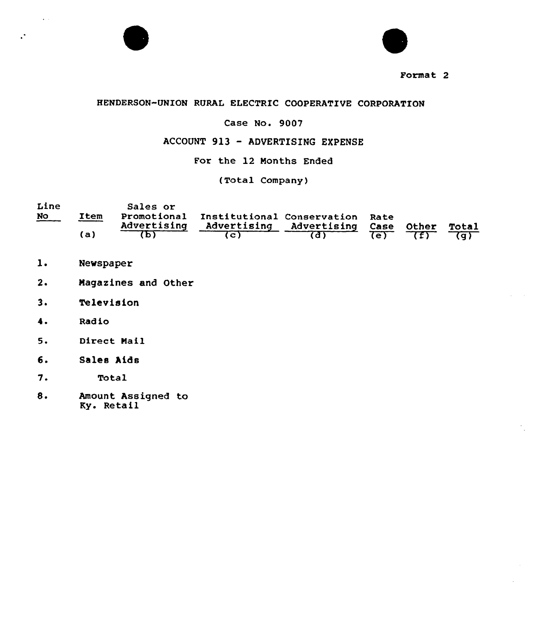



# HENDERSON-UNION RURAL ELECTRIC COOPERATIVE CORPORATION

# Case No. 9007

# ACCOUNT 913 — ADVERTISING EXPENSE

For the 12 Months Ended

(Total Company}

| Line      |      | Sales or    |                                             |                              |            |                |                     |
|-----------|------|-------------|---------------------------------------------|------------------------------|------------|----------------|---------------------|
| <u>No</u> | Item |             | Promotional Institutional Conservation Rate |                              |            |                |                     |
|           |      | Advertising |                                             | Advertising Advertising Case |            | Other          | Total               |
|           | 'a ) |             |                                             |                              | $T \cap Y$ | $\overline{f}$ | $\overline{\sigma}$ |

- Newspaper  $1.$
- Magazines and Other  $2.$
- $3<sub>1</sub>$ Television
- $4.$ Rad io

 $\sim$  10  $\pm$ 

 $\mathbf{R}$ 

- $5.$ Direct Nail
- 6. Sales Aids
- $7.$ Total
- $8.$ Amount Assigned to Ky. Retail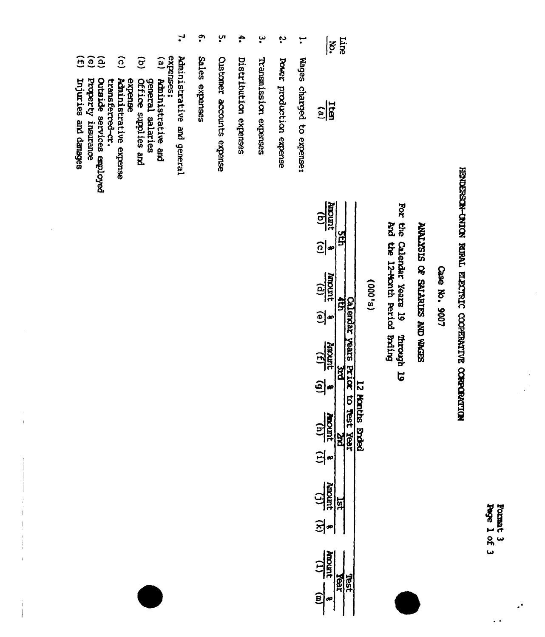Format 3<br>Page 1 of 3

 $\ddot{\phantom{0}}$ 

 $\ddot{\cdot}$ 

 $\frac{1}{2}$ 

# HENDERSON-DAION RURAL ELECTRIC CODERATIVE CORROPATION

Case No. 9007

# SEEM ON SERVING JO SISTIMY

For the Calendar Years 19 And the 12-Worth Period Brding **OI** upworth

# $(s,000)$

| <u>e)<br/>ali</u>           |        |  |
|-----------------------------|--------|--|
|                             |        |  |
| $\frac{(q)}{1000mq}$        |        |  |
| $\widehat{c}$               |        |  |
| $\frac{1}{\sqrt{d}}$        |        |  |
| $\boxed{\mathbf{e}}$        |        |  |
| $\frac{(3)}{\text{arccay}}$ | g<br>B |  |
| <u>වු</u>                   |        |  |
| 高山<br>$\ddot{\mathbf{r}}$   | j      |  |
| 의                           |        |  |
| purcu                       |        |  |
|                             |        |  |
| ន្ទី<br>$\frac{1}{2}$       |        |  |
|                             |        |  |

 $\mathbf{H}$ Wages charged to expense:

Line  $|\vec{e}|$ 

- $\ddot{\bm{\omega}}$ Power production expense
- ڛ Transnission expenses
- ÷, Distribution expenses
- ុំ<br>ព្ Customer accounts expense
- <u>ှ</u> Sales expenses
- $\mathbf{r}$ Administrative and general
- expenses:
- $\left( \mathbf{e}\right)$ Administrative and
- $\widehat{\sigma}$ general salaries<br>Office supplies and
- $\widehat{c}$ Administrative expense expense
- 
- $\mathbf{\hat{e}}$ transferred-cr.<br>Outside services employed
- 
- Property insurance
- $\widehat{H}$ Injuries and danages

 $\mathbf{I}$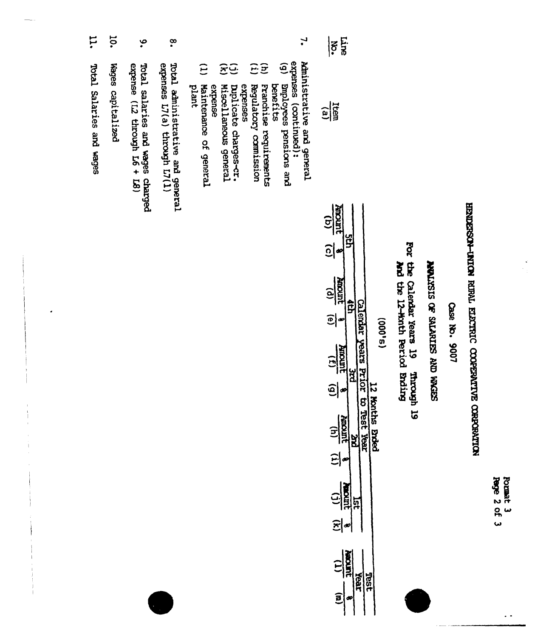| 3<br>2 | õ<br>ģ |
|--------|--------|
| ዬ      |        |
| ٢      |        |

 $\sim$   $\sim$ 

# HENDERSON-INION RIENI ELECTRIC COOPERATIVE CORPORATION

Case No. 9007

# **NEWTASIS OF SALARIES AND WORSS**

For the Calendar Years 19 Through 19 and the Calendar and the 12-word

| o |   |
|---|---|
| c |   |
| 0 | - |
| m |   |
| پ |   |

| $\frac{(p)}{1000M}$                            |                      |
|------------------------------------------------|----------------------|
| 희                                              | $\ddot{\phantom{a}}$ |
| $\frac{(3)}{100000}$<br><u>ତ୍ର</u>             |                      |
| sunudi<br>$\frac{(4)}{1000000}$<br><b>Broc</b> |                      |
| $\Xi$                                          |                      |
| ត្វ                                            |                      |
| 의                                              |                      |
| <b>JUTIORS</b><br>í<br>Ieal<br>Ē               |                      |

 $\mathbf{r}$  $\ddot{\mathbf{e}}$ expenses (continued): Administrative and general Bmployees pensions and<br>benefits

Line

 $|\vec{e}|$ 

 $\frac{\text{time}}{\text{time}}$ 

- $\hat{E}$ Franchise requirements
- $\tilde{E}$ Regulatory commission
- expenses
- $\widehat{\Xi}$ Miscellaneous general buplicate charges-cr.
- $\widehat{E}$ Maintenance of general<br>plant expense
- $\infty$ Total administrative and general<br>expenses L7(a) through L7(1)
- ې Total salaries and wages charged<br>expense  $(L2$  through L6 + L8)
- 10. Wages capitalized
- **H** Total Salaries and wages

 $\begin{array}{c} 1 \\ 1 \end{array}$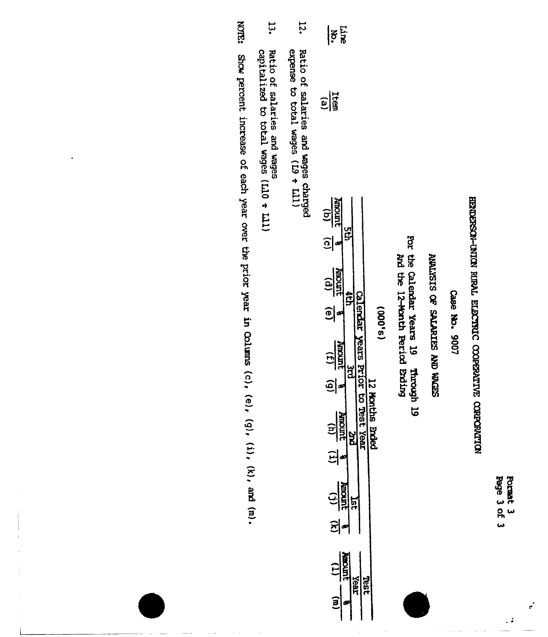Format 3<br>Page 3 of 3

 $\epsilon$ 

 $\ddot{\cdot}$ 

# HENDERSON-INION RIBAL ELECTRIC COOPERATIVE CORPORATION

Case No. 9007

# SEPTAN ON STRIFTER WORK

For the Calendar Years 19 Through 19<br>And the 12-Month Period Build

| v      |
|--------|
| Ì<br>÷ |
|        |
|        |
|        |
|        |
| Ξ      |
|        |
|        |
|        |
|        |
|        |
|        |
|        |
| m      |
|        |
|        |
| Ē,     |
|        |
|        |
|        |
|        |
|        |

| $\frac{1}{2}$                                                                                                                                                                                                                                                                                                 |                      |
|---------------------------------------------------------------------------------------------------------------------------------------------------------------------------------------------------------------------------------------------------------------------------------------------------------------|----------------------|
| $\frac{1}{2}$                                                                                                                                                                                                                                                                                                 |                      |
| $\frac{(q)}{1000R}$<br>Ĕ<br>$\widehat{c}$<br>$\frac{(p)}{10000}$<br>$\tilde{E}$<br><b>Rats</b><br>$\frac{(5)}{8}$ $\frac{(3)}{340000}$<br>ă<br>ಕ<br>$\frac{(1)}{\text{number}}$<br>reex<br>1991<br>ă<br>$\Xi$<br>$\frac{1}{\frac{1}{2}}\frac{1}{\frac{1}{2}}$<br>경∾<br>$\frac{11}{\frac{11}{2}}$<br>Year<br>៝ | $\ddot{\phantom{a}}$ |

- 12. Ratio of salaries and wages charged<br>expense to total wages  $(19 + L11)$
- $13.$ Ratio of salaries and wages<br>capitalized to total wages  $(L10 + L11)$

**KOTE:** Show percent increase of each year over the prior year in Columns (c), (e), (g), (i), (k), and (m).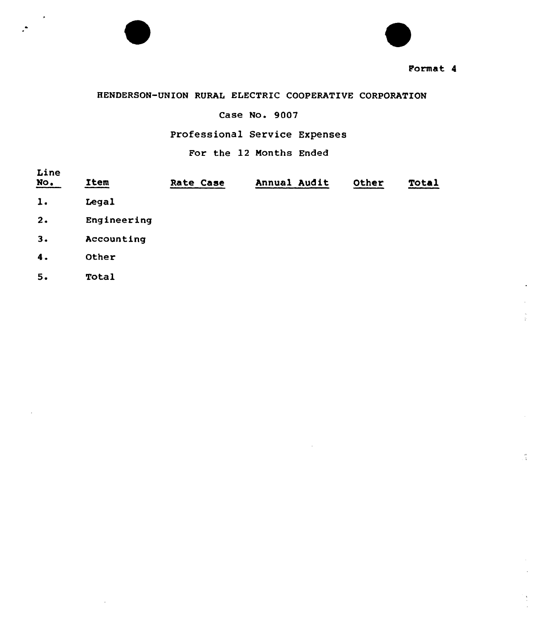

t

# HENDERSON-UNION RURAL ELECTRIC COOPERATIVE CORPORATION

# Case No. 9007

# Professional Service Expenses

# For the 12 Nonths Ended

| Line<br>$\underline{\text{No}}$ . | Item        | Rate Case | Annual Audit | Other | Total |
|-----------------------------------|-------------|-----------|--------------|-------|-------|
| 1.                                | Legal       |           |              |       |       |
| 2.                                | Engineering |           |              |       |       |
| 3.                                | Accounting  |           |              |       |       |
| 4.                                | Other       |           |              |       |       |
| 5.                                | Total       |           |              |       |       |